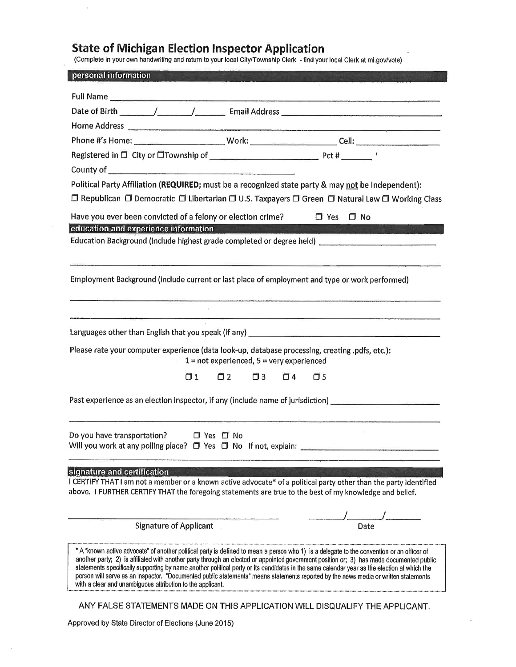# **State of Michigan Election Inspector Application**

(Complete In your own handwriting and return to your local City/Township Clerk - find your local Clark at ml.gov/vote}

| personal information                                                                            |                                               |                                                                                                                                                                                                                                                                                                                                                                                                                                |
|-------------------------------------------------------------------------------------------------|-----------------------------------------------|--------------------------------------------------------------------------------------------------------------------------------------------------------------------------------------------------------------------------------------------------------------------------------------------------------------------------------------------------------------------------------------------------------------------------------|
|                                                                                                 |                                               |                                                                                                                                                                                                                                                                                                                                                                                                                                |
|                                                                                                 |                                               |                                                                                                                                                                                                                                                                                                                                                                                                                                |
|                                                                                                 |                                               |                                                                                                                                                                                                                                                                                                                                                                                                                                |
|                                                                                                 |                                               | Phone #'s Home: _____________________________Work: ________________________Cell: _____________________________                                                                                                                                                                                                                                                                                                                 |
|                                                                                                 |                                               |                                                                                                                                                                                                                                                                                                                                                                                                                                |
|                                                                                                 |                                               |                                                                                                                                                                                                                                                                                                                                                                                                                                |
|                                                                                                 |                                               | Political Party Affiliation (REQUIRED; must be a recognized state party & may not be Independent):                                                                                                                                                                                                                                                                                                                             |
|                                                                                                 |                                               | □ Republican □ Democratic □ Libertarian □ U.S. Taxpayers □ Green □ Natural Law □ Working Class                                                                                                                                                                                                                                                                                                                                 |
| Have you ever been convicted of a felony or election crime? $\Box$ Yes $\Box$ No                |                                               |                                                                                                                                                                                                                                                                                                                                                                                                                                |
| education and experience information                                                            |                                               |                                                                                                                                                                                                                                                                                                                                                                                                                                |
|                                                                                                 |                                               | Education Background (include highest grade completed or degree held) _____________________________                                                                                                                                                                                                                                                                                                                            |
|                                                                                                 |                                               |                                                                                                                                                                                                                                                                                                                                                                                                                                |
|                                                                                                 |                                               | Employment Background (include current or last place of employment and type or work performed)                                                                                                                                                                                                                                                                                                                                 |
|                                                                                                 |                                               |                                                                                                                                                                                                                                                                                                                                                                                                                                |
|                                                                                                 |                                               | .<br>Maria and an international <b>compositive of the component of the component of the component of the component of the</b>                                                                                                                                                                                                                                                                                                  |
|                                                                                                 |                                               |                                                                                                                                                                                                                                                                                                                                                                                                                                |
| Please rate your computer experience (data look-up, database processing, creating .pdfs, etc.): | $1 = not$ experienced, $5 =$ very experienced |                                                                                                                                                                                                                                                                                                                                                                                                                                |
|                                                                                                 | $\square$ 3                                   | $\Box$ 4<br>$\square$ 5                                                                                                                                                                                                                                                                                                                                                                                                        |
|                                                                                                 |                                               |                                                                                                                                                                                                                                                                                                                                                                                                                                |
|                                                                                                 |                                               | Past experience as an election inspector, if any (include name of jurisdiction) [1988] [1988] [1988] Past and Lineary Contractor (1988) [1988] Past and Lineary Contractor (1988) [1988] [1988] [1988] [1988] [1988] [1988] [1                                                                                                                                                                                                 |
|                                                                                                 |                                               |                                                                                                                                                                                                                                                                                                                                                                                                                                |
| Do you have transportation? D Yes D No                                                          |                                               |                                                                                                                                                                                                                                                                                                                                                                                                                                |
| Will you work at any polling place? $\Box$ Yes $\Box$ No If not, explain:                       |                                               |                                                                                                                                                                                                                                                                                                                                                                                                                                |
|                                                                                                 |                                               |                                                                                                                                                                                                                                                                                                                                                                                                                                |
| signature and certification                                                                     |                                               | I CERTIFY THAT I am not a member or a known active advocate* of a political party other than the party identified                                                                                                                                                                                                                                                                                                              |
|                                                                                                 |                                               | above. I FURTHER CERTIFY THAT the foregoing statements are true to the best of my knowledge and belief.                                                                                                                                                                                                                                                                                                                        |
|                                                                                                 |                                               |                                                                                                                                                                                                                                                                                                                                                                                                                                |
| <b>Signature of Applicant</b>                                                                   |                                               | Date                                                                                                                                                                                                                                                                                                                                                                                                                           |
|                                                                                                 |                                               | * A "known active advocate" of another political party is defined to mean a person who 1) is a delegate to the convention or an officer of                                                                                                                                                                                                                                                                                     |
| with a clear and unambiguous attribution to the applicant.                                      |                                               | another party; 2) is affiliated with another party through an elected or appointed government position or; 3) has made documented public<br>statements specifically supporting by name another political party or its candidates in the same calendar year as the election at which the<br>person will serve as an inspector. "Documented public statements" means statements reported by the news media or written statements |

ANY FALSE STATEMENTS MADE ON THIS APPLICATION WILL DISQUALIFY THE APPLICANT.

Approved by State Director of Elections (June 2015)

 $\mathcal{L}$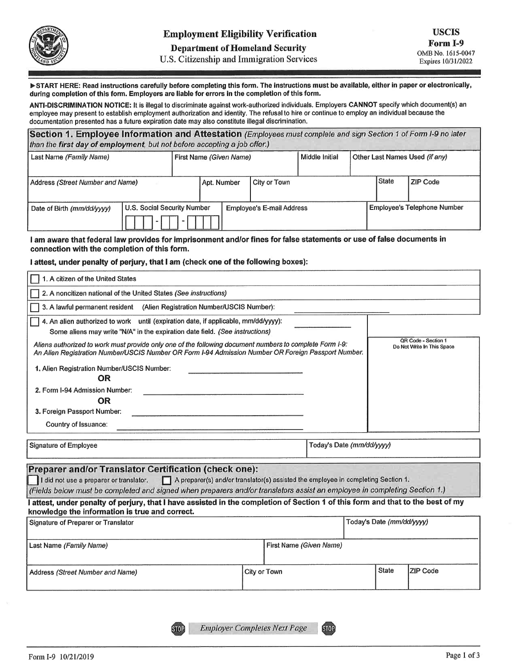

#### **Department of Homeland Security**

U.S. Citizenship and Immigration Services

START HERE: Read instructions carefully before completing this form. The instructions must be available, either in paper or electronically, during completion of this form. Employers are liable for errors in the completion of this form.

ANTI-DISCRIMINATION NOTICE: lt Is Illegal to discriminate against work-authorized individuals. Employers CANNOT specify which document(s) an employee may present to establish employment authorization and identity. The refusal lo hire or continue to employ an individual because the documentation presented has a future expiration date may also constitute illegal discrimination.

**Section 1. Employee Information and Attestation** (Employees must complete and sign Section 1 of Form I-9 no later than the **first day of employment,** but not before accepting a job offer.)

| and we have a second to the control of the second second and the control of the control of the control of the control of the control of the control of the control of the control of the control of the control of the control |                             |                         |                             |                                  |                |  |                                |                                    |
|--------------------------------------------------------------------------------------------------------------------------------------------------------------------------------------------------------------------------------|-----------------------------|-------------------------|-----------------------------|----------------------------------|----------------|--|--------------------------------|------------------------------------|
| Last Name (Family Name)                                                                                                                                                                                                        |                             | First Name (Given Name) |                             |                                  | Middle Initial |  | Other Last Names Used (if any) |                                    |
| Address (Street Number and Name)                                                                                                                                                                                               |                             |                         | City or Town<br>Apt. Number |                                  |                |  | <b>State</b>                   | ZIP Code                           |
| Date of Birth (mm/dd/yyyy)                                                                                                                                                                                                     | U.S. Social Security Number |                         |                             | <b>Employee's E-mail Address</b> |                |  |                                | <b>Employee's Telephone Number</b> |

I **am aware that federal law provides for imprisonment and/or fines for false statements or use of false documents in connection with the completion of this form.** 

#### I **attest, under penalty of perjury, that** I **am (check one of the following boxes);**

| 1. A citizen of the United States                                                                                                                                                                                                                                                                                                                                                                                                                   |  |                           |                           |                            |  |  |  |
|-----------------------------------------------------------------------------------------------------------------------------------------------------------------------------------------------------------------------------------------------------------------------------------------------------------------------------------------------------------------------------------------------------------------------------------------------------|--|---------------------------|---------------------------|----------------------------|--|--|--|
| 2. A noncitizen national of the United States (See instructions)                                                                                                                                                                                                                                                                                                                                                                                    |  |                           |                           |                            |  |  |  |
| 3. A lawful permanent resident (Alien Registration Number/USCIS Number):                                                                                                                                                                                                                                                                                                                                                                            |  |                           |                           |                            |  |  |  |
| 4. An alien authorized to work until (expiration date, if applicable, mm/dd/yyyy):<br>Some aliens may write "N/A" in the expiration date field. (See instructions)                                                                                                                                                                                                                                                                                  |  |                           |                           | OR Code - Section 1        |  |  |  |
| Aliens authorized to work must provide only one of the following document numbers to complete Form I-9:<br>An Alien Registration Number/USCIS Number OR Form I-94 Admission Number OR Foreign Passport Number.                                                                                                                                                                                                                                      |  |                           |                           | Do Not Write In This Space |  |  |  |
| 1. Alien Registration Number/USCIS Number:<br><b>OR</b><br>2. Form I-94 Admission Number:<br><b>OR</b><br>3. Foreign Passport Number:<br>Country of Issuance:                                                                                                                                                                                                                                                                                       |  |                           |                           |                            |  |  |  |
| <b>Signature of Employee</b>                                                                                                                                                                                                                                                                                                                                                                                                                        |  | Today's Date (mm/dd/yyyy) |                           |                            |  |  |  |
| Preparer and/or Translator Certification (check one):<br>I did not use a preparer or translator.<br>A preparer(s) and/or translator(s) assisted the employee in completing Section 1.<br>(Fields below must be completed and signed when preparers and/or translators assist an employee in completing Section 1.)<br>attest, under penalty of perjury, that I have assisted in the completion of Section 1 of this form and that to the best of my |  |                           |                           |                            |  |  |  |
|                                                                                                                                                                                                                                                                                                                                                                                                                                                     |  |                           |                           |                            |  |  |  |
| knowledge the information is true and correct.<br>Signature of Preparer or Translator                                                                                                                                                                                                                                                                                                                                                               |  |                           | Today's Date (mm/dd/yyyy) |                            |  |  |  |
| Last Name (Family Name)                                                                                                                                                                                                                                                                                                                                                                                                                             |  | First Name (Given Name)   |                           |                            |  |  |  |

**STOP**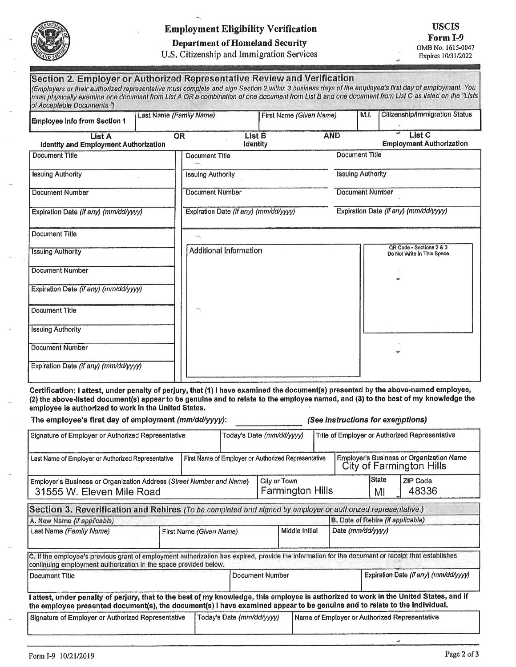

## **Employment Eligibility Verification**

### **Department of Homeland Security**

U.S. Citizenship and Immigration Services

#### Section 2. Employer or Authorized Representative Review and Verification (Employers or their authorized representative must complete and sign Section 2 within 3 business days of the employee's first day of employment. You must physically examine one document from List A OR a combination of one document from List B and one document from List C as listed on the "Lists of Acceptable Documents.") **Citizenship/Immigration Status** Last Name (Family Name) First Name (Given Name)  $M.L$ **Employee Info from Section 1 AND List C** List A  $\overline{\text{OR}}$ **List B**

| <b>Identity and Employment Authorization</b> | <b>Identity</b>                       | <b>Employment Authorization</b>                        |
|----------------------------------------------|---------------------------------------|--------------------------------------------------------|
| <b>Document Title</b>                        | Document Title                        | <b>Document Title</b>                                  |
| <b>Issuing Authority</b>                     | <b>Issuing Authority</b>              | <b>Issuing Authority</b>                               |
| <b>Document Number</b>                       | <b>Document Number</b>                | <b>Document Number</b>                                 |
| Expiration Date (if any) (mm/dd/yyyy)        | Expiration Date (if any) (mm/dd/yyyy) | Expiration Date (if any) (mm/dd/yyyy)                  |
| Document Title                               |                                       |                                                        |
| <b>Issuing Authority</b>                     | Additional Information                | QR Code - Sections 2 & 3<br>Do Not Write In This Space |
| Document Number                              |                                       | $\Rightarrow$                                          |
| Expiration Date (if any) (mm/dd/yyyy)        |                                       |                                                        |
| <b>Document Title</b>                        |                                       |                                                        |
| <b>Issuing Authority</b>                     |                                       |                                                        |
| Document Number                              |                                       |                                                        |
| Expiration Date (if any) (mm/dd/yyyy)        |                                       |                                                        |

Certification: I attest, under penalty of perjury, that (1) I have examined the document(s) presented by the above-named employee, (2) the above-listed document(s) appear to be genuine and to relate to the employee named, and (3) to the best of my knowledge the employee is authorized to work in the United States.

| The employee's first day of employment (mm/dd/yyyy):                                                                                                                                                                                                              |  |                                           |                                                     | (See instructions for exemptions) |  |                    |                                                                                    |                                       |                                               |  |
|-------------------------------------------------------------------------------------------------------------------------------------------------------------------------------------------------------------------------------------------------------------------|--|-------------------------------------------|-----------------------------------------------------|-----------------------------------|--|--------------------|------------------------------------------------------------------------------------|---------------------------------------|-----------------------------------------------|--|
| Signature of Employer or Authorized Representative                                                                                                                                                                                                                |  |                                           |                                                     | Today's Date (mm/dd/yyyy)         |  |                    | Title of Employer or Authorized Representative                                     |                                       |                                               |  |
| Last Name of Employer or Authorized Representative                                                                                                                                                                                                                |  |                                           | First Name of Employer or Authorized Representative |                                   |  |                    | <b>Employer's Business or Organization Name</b><br><b>City of Farmington Hills</b> |                                       |                                               |  |
| City or Town<br>Employer's Business or Organization Address (Street Number and Name)<br><b>Farmington Hills</b><br>31555 W. Eleven Mile Road                                                                                                                      |  |                                           |                                                     |                                   |  | <b>State</b><br>MI | <b>ZIP Code</b><br>48336                                                           |                                       |                                               |  |
| Section 3. Reverification and Rehires (To be completed and signed by employer or authorized representative.)                                                                                                                                                      |  |                                           |                                                     |                                   |  |                    |                                                                                    |                                       |                                               |  |
| A. New Name (if applicable)                                                                                                                                                                                                                                       |  |                                           |                                                     |                                   |  |                    | B. Date of Rehire (if applicable)                                                  |                                       |                                               |  |
| Last Name (Family Name)                                                                                                                                                                                                                                           |  | Middle Initial<br>First Name (Given Name) |                                                     |                                   |  | Date (mm/dd/yyyy)  |                                                                                    |                                       |                                               |  |
| C. If the employee's previous grant of employment authorization has expired, provide the information for the document or receipt that establishes<br>continuing employment authorization in the space provided below.                                             |  |                                           |                                                     |                                   |  |                    |                                                                                    |                                       |                                               |  |
| Document Title                                                                                                                                                                                                                                                    |  |                                           |                                                     | <b>Document Number</b>            |  |                    |                                                                                    | Expiration Date (if any) (mm/dd/yyyy) |                                               |  |
| attest, under penalty of perjury, that to the best of my knowledge, this employee is authorized to work in the United States, and if<br>the employee presented document(s), the document(s) I have examined appear to be genuine and to relate to the individual. |  |                                           |                                                     |                                   |  |                    |                                                                                    |                                       |                                               |  |
| Signature of Employer or Authorized Representative<br>Today's Date (mm/dd/yyyy)                                                                                                                                                                                   |  |                                           |                                                     |                                   |  |                    |                                                                                    |                                       | Name of Employer or Authorized Representative |  |